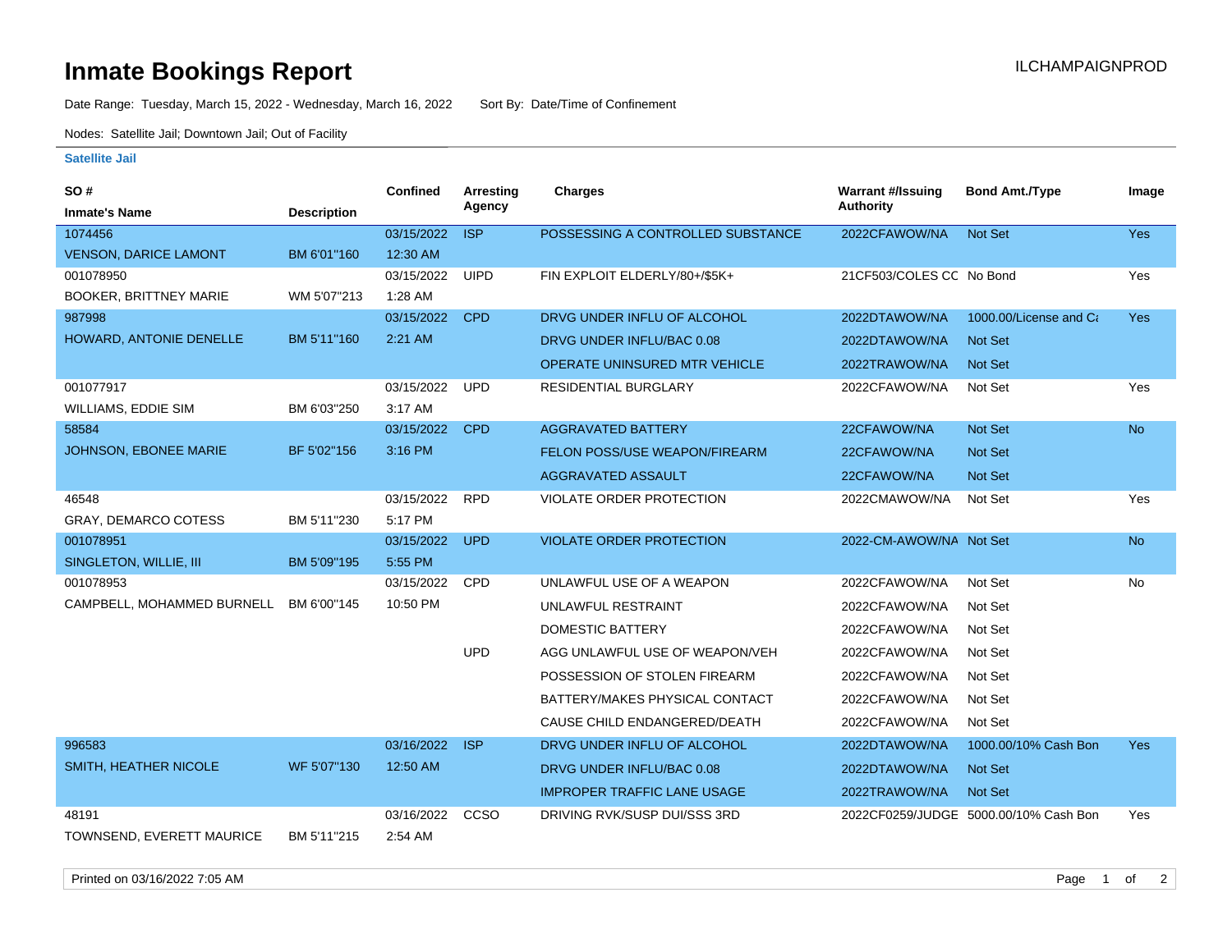## **Inmate Bookings Report International Contract Contract Contract Contract Contract Contract Contract Contract Contract Contract Contract Contract Contract Contract Contract Contract Contract Contract Contract Contract Co**

Date Range: Tuesday, March 15, 2022 - Wednesday, March 16, 2022 Sort By: Date/Time of Confinement

Nodes: Satellite Jail; Downtown Jail; Out of Facility

## **Satellite Jail**

| <b>SO#</b>                    |                    | <b>Confined</b> | <b>Arresting</b> | Charges                            | <b>Warrant #/Issuing</b> | <b>Bond Amt./Type</b>                 | Image      |
|-------------------------------|--------------------|-----------------|------------------|------------------------------------|--------------------------|---------------------------------------|------------|
| <b>Inmate's Name</b>          | <b>Description</b> |                 | Agency           |                                    | <b>Authority</b>         |                                       |            |
| 1074456                       |                    | 03/15/2022      | <b>ISP</b>       | POSSESSING A CONTROLLED SUBSTANCE  | 2022CFAWOW/NA            | <b>Not Set</b>                        | <b>Yes</b> |
| <b>VENSON, DARICE LAMONT</b>  | BM 6'01"160        | 12:30 AM        |                  |                                    |                          |                                       |            |
| 001078950                     |                    | 03/15/2022      | <b>UIPD</b>      | FIN EXPLOIT ELDERLY/80+/\$5K+      | 21CF503/COLES CC No Bond |                                       | Yes        |
| <b>BOOKER, BRITTNEY MARIE</b> | WM 5'07"213        | 1:28 AM         |                  |                                    |                          |                                       |            |
| 987998                        |                    | 03/15/2022      | <b>CPD</b>       | DRVG UNDER INFLU OF ALCOHOL        | 2022DTAWOW/NA            | 1000.00/License and Ca                | <b>Yes</b> |
| HOWARD, ANTONIE DENELLE       | BM 5'11"160        | 2:21 AM         |                  | DRVG UNDER INFLU/BAC 0.08          | 2022DTAWOW/NA            | <b>Not Set</b>                        |            |
|                               |                    |                 |                  | OPERATE UNINSURED MTR VEHICLE      | 2022TRAWOW/NA            | <b>Not Set</b>                        |            |
| 001077917                     |                    | 03/15/2022      | <b>UPD</b>       | <b>RESIDENTIAL BURGLARY</b>        | 2022CFAWOW/NA            | Not Set                               | Yes        |
| <b>WILLIAMS, EDDIE SIM</b>    | BM 6'03"250        | 3:17 AM         |                  |                                    |                          |                                       |            |
| 58584                         |                    | 03/15/2022      | <b>CPD</b>       | <b>AGGRAVATED BATTERY</b>          | 22CFAWOW/NA              | <b>Not Set</b>                        | <b>No</b>  |
| JOHNSON, EBONEE MARIE         | BF 5'02"156        | 3:16 PM         |                  | FELON POSS/USE WEAPON/FIREARM      | 22CFAWOW/NA              | <b>Not Set</b>                        |            |
|                               |                    |                 |                  | AGGRAVATED ASSAULT                 | 22CFAWOW/NA              | <b>Not Set</b>                        |            |
| 46548                         |                    | 03/15/2022      | <b>RPD</b>       | <b>VIOLATE ORDER PROTECTION</b>    | 2022CMAWOW/NA            | Not Set                               | Yes        |
| <b>GRAY, DEMARCO COTESS</b>   | BM 5'11"230        | 5:17 PM         |                  |                                    |                          |                                       |            |
| 001078951                     |                    | 03/15/2022      | <b>UPD</b>       | <b>VIOLATE ORDER PROTECTION</b>    | 2022-CM-AWOW/NA Not Set  |                                       | <b>No</b>  |
| SINGLETON, WILLIE, III        | BM 5'09"195        | 5:55 PM         |                  |                                    |                          |                                       |            |
| 001078953                     |                    | 03/15/2022      | <b>CPD</b>       | UNLAWFUL USE OF A WEAPON           | 2022CFAWOW/NA            | Not Set                               | <b>No</b>  |
| CAMPBELL, MOHAMMED BURNELL    | BM 6'00"145        | 10:50 PM        |                  | UNLAWFUL RESTRAINT                 | 2022CFAWOW/NA            | Not Set                               |            |
|                               |                    |                 |                  | <b>DOMESTIC BATTERY</b>            | 2022CFAWOW/NA            | Not Set                               |            |
|                               |                    |                 | <b>UPD</b>       | AGG UNLAWFUL USE OF WEAPON/VEH     | 2022CFAWOW/NA            | Not Set                               |            |
|                               |                    |                 |                  | POSSESSION OF STOLEN FIREARM       | 2022CFAWOW/NA            | Not Set                               |            |
|                               |                    |                 |                  | BATTERY/MAKES PHYSICAL CONTACT     | 2022CFAWOW/NA            | Not Set                               |            |
|                               |                    |                 |                  | CAUSE CHILD ENDANGERED/DEATH       | 2022CFAWOW/NA            | Not Set                               |            |
| 996583                        |                    | 03/16/2022      | <b>ISP</b>       | DRVG UNDER INFLU OF ALCOHOL        | 2022DTAWOW/NA            | 1000.00/10% Cash Bon                  | <b>Yes</b> |
| SMITH, HEATHER NICOLE         | WF 5'07"130        | 12:50 AM        |                  | DRVG UNDER INFLU/BAC 0.08          | 2022DTAWOW/NA            | <b>Not Set</b>                        |            |
|                               |                    |                 |                  | <b>IMPROPER TRAFFIC LANE USAGE</b> | 2022TRAWOW/NA            | <b>Not Set</b>                        |            |
| 48191                         |                    | 03/16/2022      | CCSO             | DRIVING RVK/SUSP DUI/SSS 3RD       |                          | 2022CF0259/JUDGE 5000.00/10% Cash Bon | Yes        |
| TOWNSEND, EVERETT MAURICE     | BM 5'11"215        | 2:54 AM         |                  |                                    |                          |                                       |            |